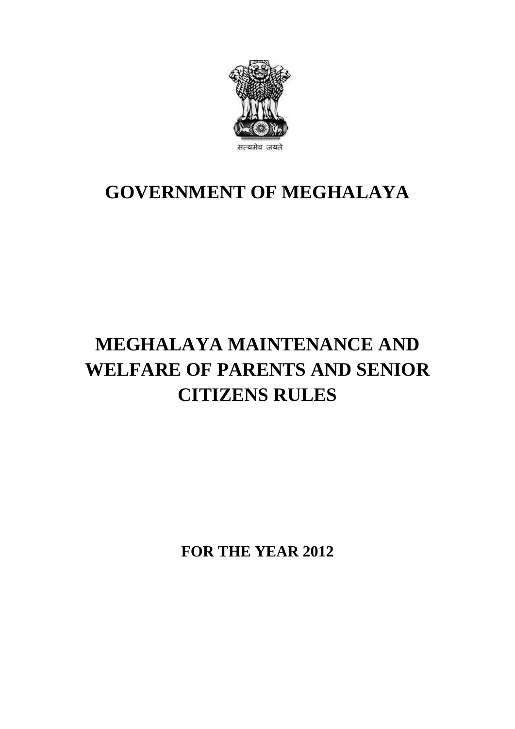

# **GOVERNMENT OF MEGHALAYA**

# **MEGHALAYA MAINTENANCE AND WELFARE OF PARENTS AND SENIOR CITIZENS RULES**

**FOR THE YEAR 2012**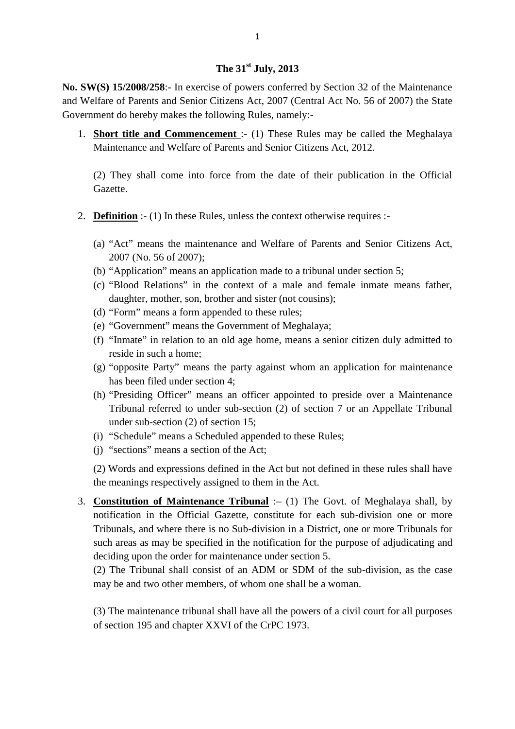# **The 31st July, 2013**

**The 31<sup>st</sup> July, 2013**<br>**No. SW(S) 15/2008/258**:- In exercise of powers conferred by Section 32 of the Maintenance<br>and Welfare of Parents and Senior Citizens Act, 2007 (Central Act No. 56 of 2007) the State **and Welfare of Parents and Senior Citizens Act, 2007** (Central Act No. 56 of 2007) the State Government do hereby makes the following Rules, namely:-Government do hereby makes the following Rules, namely:- 1. **SW(S) 15/2008/258:** In exercise of powers conferred by Section 32 of the Maintenance<br>Welfare of Parents and Senior Citizens Act, 2007 (Central Act No. 56 of 2007) the State<br>vernment do hereby makes the following Rules,  $W(S)$  15/2008/258:- In exercise of powers conferred by Section 32 of the elfare of Parents and Senior Citizens Act, 2007 (Central Act No. 56 of 2 ment do hereby makes the following Rules, namely:-<br>Short title and Commence

(2) They shall come into force from the date of their publication in the Official Gazette.

- 2. **Definition** :- (1) In these Rules, unless the context otherwise requires :-
	- (a) "Act" means the maintenance and Welfare of Parents and Senior Citizens Act, 2007 (No. 56 of 2007);
	- (b) "Application" means an application made to a tribunal under section 5;
	- (c) "Blood Relations" in the context of a male and female inmate means father, daughter, mother, son, brother and sister (not cousins);
	- (d) "Form" means a form appended to these rules;
	- (e) "Government" means the Government of Meghalaya;
	- (f) "Inmate" in relation to an old age home, means a senior citizen duly admitted to reside in such a home;
	- (g) "opposite Party" means the party against whom an application for maintenance has been filed under section 4;
	- (h) "Presiding Officer" means an officer appointed to preside over a Maintenance Tribunal referred to under sub-section (2) of section 7 or an Appellate Tribunal under sub-section (2) of section 15;
	- (i) "Schedule" means a Scheduled appended to these Rules;
	- (j) "sections" means a section of the Act;

(2) Words and expressions defined in the Act but not defined in these rules shall have the meanings respectively assigned to them in the Act.

3. **Constitution of Maintenance Tribunal** :– (1) The Govt. of Meghalaya shall, by notification in the Official Gazette, constitute for each sub-division one or more Tribunals, and where there is no Sub-division in a District, one or more Tribunals for such areas as may be specified in the notification for the purpose of adjudicating and deciding upon the order for maintenance under section 5. notification in the Official Gazette, constitute for each sub-division one or more<br>Tribunals, and where there is no Sub-division in a District, one or more Tribunals for<br>such areas as may be specified in the notification f

may be and two other members, of whom one shall be a woman.

(3) The maintenance tribunal shall have all the powers of a civil court for all purposes of section 195 and chapter XXVI of the CrPC 1973.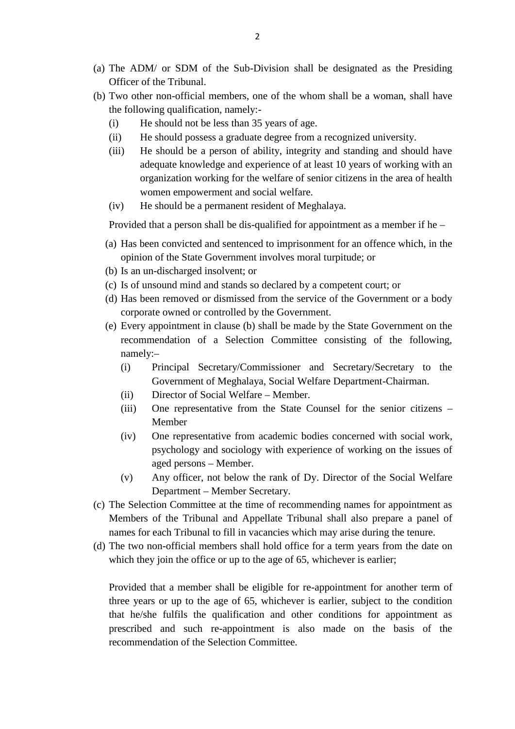- (a) The ADM/ or SDM of the Sub-Division shall be designated as the Presiding Officer of the Tribunal. (a) The ADM/ or SDM of the Sub-Division shall be designated as the Presiding<br>Officer of the Tribunal.<br>(b) Two other non-official members, one of the whom shall be a woman, shall have<br>the following qualification, namely:-The ADM/ or SDM of the Sub-Division shall be c<br>
Officer of the Tribunal.<br>
Two other non-official members, one of the whom sh<br>
the following qualification, namely:-<br>
(i) He should not be less than 35 years of age.<br>
(ii) He
- the following qualification, namely:- (b) Two other non-official members, one of the whom shall be a woman, shall have<br>the following qualification, namely:-<br>(i) He should not be less than 35 years of age.<br>(ii) He should possess a graduate degree from a recogni
	-
	-
- (i) Two other non-official members, one of the whom shall be a woman, shall have<br>the following qualification, namely:-<br>(i) He should not be less than 35 years of age.<br>(ii) He should possess a graduate degree from a recogni adequate knowledge and experience of at least 10 years of working with an organization working for the welfare of senior citizens in the area of health women empowerment and social welfare. (iii) He should be a person of ability, integrity and stand<br>adequate knowledge and experience of at least 10 year<br>organization working for the welfare of senior citizens<br>women empowerment and social welfare.<br>(iv) He should
	-

(iv) He should be a permanent resident of Meghalaya.<br>Provided that a person shall be dis-qualified for appointment as a member if he –

- Sugalization working for the weitare of sentor entraction in the area of heath<br>women empowerment and social welfare.<br>(iv) He should be a permanent resident of Meghalaya.<br>Provided that a person shall be dis-qualified for ap opinion of the State Government involves moral turpitude; or (iv) The should be a permanent resident<br>Provided that a person shall be dis-qualifi<br>(a) Has been convicted and sentenced to in<br>opinion of the State Government invol-<br>(b) Is an un-discharged insolvent; or<br>(c) Is of unsound Provided that a person shall be dis-qualified for appointment as a member if<br>
(a) Has been convicted and sentenced to imprisonment for an offence which,<br>
opinion of the State Government involves moral turpitude; or<br>
(b) Is (a) Has been convicted and sentenced to imprisonment for an offence which, in the opinion of the State Government involves moral turpitude; or (b) Is an un-discharged insolvent; or (c) Is of unsound mind and stands so decl
- 
- 
- corporate owned or controlled by the Government.
- (b) Is an un-discharged insolvent; or<br>
(c) Is of unsound mind and stands so declared by a competent court; or<br>
(d) Has been removed or dismissed from the service of the Government or a body<br>
corporate owned or controlled b recommendation of a Selection Committee consisting of the following,<br>
namely:-<br>
(i) Principal Secretary/Commissioner and Secretary/Secretary to the<br>
Government of Meghalaya, Social Welfare Department-Chairman.<br>
(ii) Direct namely:– Comporate owned or controlled by the Government.<br>
Every appointment in clause (b) shall be made by the State Government on the<br>
recommendation of a Selection Committee consisting of the following,<br>
namely:-<br>
(i) Principal
	- Government of Meghalaya, Social Welfare Department-Chairman. (i) Principal Secretary/Commissioner and Secretary/Secretary to the<br>
	Government of Meghalaya, Social Welfare Department-Chairman.<br>
	(ii) Director of Social Welfare – Member.<br>
	(iii) One representative from the State Counsel
	-
	-
	- Government of Meghalaya, Social Welfare Department-Chairman.<br>
	(ii) Director of Social Welfare Member.<br>
	(iii) One representative from the State Counsel for the senior citizens –<br>
	Member<br>
	(iv) One representative from acade psychology and sociology with experience of working on the issues of aged persons – Member. (iv) One representative from academic bodies concerned with social work,<br>psychology and sociology with experience of working on the issues of<br>aged persons – Member.<br>(v) Any officer, not below the rank of Dy. Director of th
	- Department Member Secretary.
- psychology and sociology with experience of working on the issues of<br>aged persons Member.<br>(v) Any officer, not below the rank of Dy. Director of the Social Welfare<br>Department Member Secretary.<br>(c) The Selection Committ names for each Tribunal to fill in vacancies which may arise during the tenure. Composite the Union Committee at the time of recommending names for appointment as<br>Members of the Tribunal and Appellate Tribunal shall also prepare a panel of<br>names for each Tribunal to fill in vacancies which may arise d
- which they join the office or up to the age of 65, whichever is earlier;

Provided that a member shall be eligible for re-appointment for another term of three years or up to the age of 65, whichever is earlier, subject to the condition that he/she fulfils the qualification and other conditions for appointment as prescribed and such re-appointment is also made on the basis of the recommendation of the Selection Committee.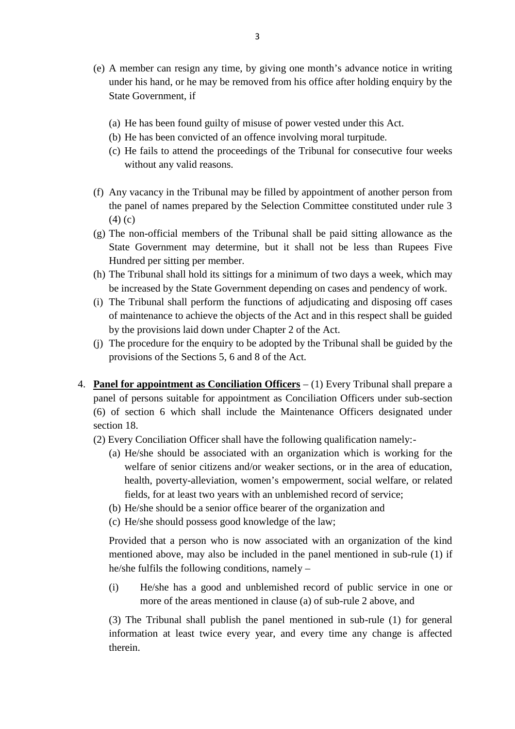- (e) A member can resign any time, by giving one month's advance notice in writing (a) He has been found guilty of misuse of power vested under this Act. under his hand, or he may be removed from his office after holding enquiry by the<br>State Government, if<br>(a) He has been found guilty of misuse of power vested under this Act.<br>(b) He has been convicted of an offence involvin State Government, if
	-
	-
	- (a) He has been found guilty of misuse of power vested under this Act.<br>
	(b) He has been convicted of an offence involving moral turpitude.<br>
	(c) He fails to attend the proceedings of the Tribunal for consecutive four weeks<br> without any valid reasons.
- (b) He has been convicted of an offence involving moral turpitude.<br>
(c) He fails to attend the proceedings of the Tribunal for consecutive four weeks<br>
without any valid reasons.<br>
(f) Any vacancy in the Tribunal may be fill the panel of names prepared by the Selection Committee constituted under rule 3 (4) (c) (f) Any vacancy in the Tribunal may be filled by appointment of another person from<br>the panel of names prepared by the Selection Committee constituted under rule 3<br>(4) (c)<br>(g) The non-official members of the Tribunal shal Any vacancy in the Tribunal may be filled by appointment of another person from<br>the panel of names prepared by the Selection Committee constituted under rule 3<br>(4) (c)<br>The non-official members of the Tribunal shall be paid
- Hundred per sitting per member. (4) (c)<br>
(g) The non-official members of the Tribunal shall be paid sitting allowance as the<br>
State Government may determine, but it shall not be less than Rupees Five<br>
Hundred per sitting per member.<br>
(h) The Tribunal sh State Government may determine, but it shall not be less than Rupees Five<br>Hundred per sitting per member.<br>(h) The Tribunal shall hold its sittings for a minimum of two days a week, which may<br>be increased by the State Gover
- be increased by the State Government depending on cases and pendency of work.
- of maintenance to achieve the objects of the Act and in this respect shall be guided by the provisions laid down under Chapter 2 of the Act. (i) The Tribunal shall perform the functions of adjudicating and disposing off cases<br>of maintenance to achieve the objects of the Act and in this respect shall be guided<br>by the provisions laid down under Chapter 2 of the A
- provisions of the Sections 5, 6 and 8 of the Act.
- 4. **Panel for appointment as Conciliation Officers** (1) Every Tribunal shall prepare a (j) The procedure for the enquiry to be adopted by the Tribunal shall be guided by the provisions of the Sections 5, 6 and 8 of the Act.<br> **Panel for appointment as Conciliation Officers** – (1) Every Tribunal shall prepare (6) of section 6 which shall include the Maintenance Officers designated under section 18. panel of persons suitable for appointment as Conciliation Officers under sub-section (6) of section 6 which shall include the Maintenance Officers designated under section 18.<br>(2) Every Conciliation Officer shall have the
	- (2) Every Conciliation Officer shall have the following qualification namely:
		- welfare of senior citizens and/or weaker sections, or in the area of education, health, poverty-alleviation, women's empowerment, social welfare, or related fields, for at least two years with an unblemished record of service; (a) He/she should be associated with an organization which is working welfare of senior citizens and/or weaker sections, or in the area of edu health, poverty-alleviation, women's empowerment, social welfare, or fields, f welfare of senior citizens and/or weaker sections, or in<br>health, poverty-alleviation, women's empowerment, so<br>fields, for at least two years with an unblemished record<br>(b) He/she should be a senior office bearer of the org
		-
		-

Provided that a person who is now associated with an organization of the kind mentioned above, may also be included in the panel mentioned in sub-rule (1) if he/she fulfils the following conditions, namely – (c) The/she should possess good knowledge of the raw,<br>
Provided that a person who is now associated with an organization of the kind<br>
mentioned above, may also be included in the panel mentioned in sub-rule (1) if<br>
he/she

more of the areas mentioned in clause (a) of sub-rule 2 above, and

(3) The Tribunal shall publish the panel mentioned in sub-rule (1) for general information at least twice every year, and every time any change is affected therein.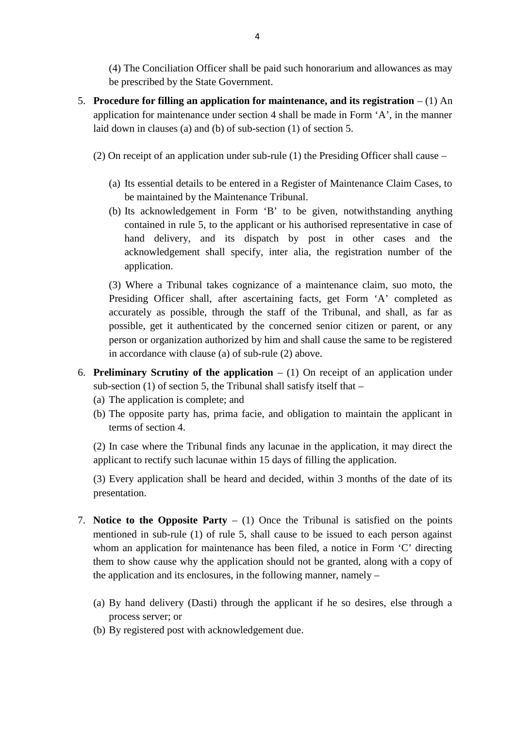(4) The Conciliation Officer shall be paid such honorarium and allowances as may be prescribed by the State Government.

- 5. **Procedure for filling an application for maintenance, and its registration** (1) An application for maintenance under section 4 shall be made in Form 'A', in the manner laid down in clauses (a) and (b) of sub-section (1) of section 5. **Procedure for filling an application for maintenance, and its registration**  $- (1)$  An application for maintenance under section 4 shall be made in Form 'A', in the manner laid down in clauses (a) and (b) of sub-section (
	- (2) On receipt of an application under sub-rule (1) the Presiding Officer shall cause  $-$ <br>(a) Its essential details to be entered in a Register of Maintenance Claim Cases, to
		- be maintained by the Maintenance Tribunal.
		- (b) Its acknowledgement in Form 'B' to be given, notwithstanding anything Its essential details to be entered in a Register of Maintenance Claim Cases, to be maintained by the Maintenance Tribunal.<br>Its acknowledgement in Form 'B' to be given, notwithstanding anything contained in rule 5, to the hand delivery, and its dispatch by post in other cases and the acknowledgement shall specify, inter alia, the registration number of the application. (3) Contained in rule 5, to the applicant or his authorised representative in case of hand delivery, and its dispatch by post in other cases and the acknowledgement shall specify, inter alia, the registration number of the

Presiding Officer shall, after ascertaining facts, get Form 'A' completed as accurately as possible, through the staff of the Tribunal, and shall, as far as possible, get it authenticated by the concerned senior citizen or parent, or any person or organization authorized by him and shall cause the same to be registered in accordance with clause (a) of sub-rule (2) above.

- 6. **Preliminary Scrutiny of the application** (1) On receipt of an application under sub-section  $(1)$  of section 5, the Tribunal shall satisfy itself that – person or organization authorized by him<br>in accordance with clause (a) of sub-rule (<br>**Preliminary Scrutiny of the application** –<br>sub-section (1) of section 5, the Tribunal shal<br>(a) The application is complete; and<br>(b) The in accordance with clause (a) of sub-rule (2) above.<br> **Preliminary Scrutiny of the application**  $-$  (1) On receipt of an application under<br>
sub-section (1) of section 5, the Tribunal shall satisfy itself that  $-$ <br>
(a) The
	-
	- terms of section 4.

sub-section (1) of section 5, the Tribunal shall satisfy itself that –<br>
(a) The application is complete; and<br>
(b) The opposite party has, prima facie, and obligation to maintain the applicant in<br>
terms of section 4.<br>
(2) I applicant to rectify such lacunae within 15 days of filling the application.

(3) Every application shall be heard and decided, within 3 months of the date of its presentation.

- applicant to rectify such lacunae within 15 days of filling the application.<br>
(3) Every application shall be heard and decided, within 3 months of the date of its<br>
presentation.<br>
7. **Notice to the Opposite Party** (1) Onc (3) Every application shall be heard and decided, within 3 months of the date of its presentation.<br> **Notice to the Opposite Party** – (1) Once the Tribunal is satisfied on the points mentioned in sub-rule (1) of rule 5, sh whom an application for maintenance has been filed, a notice in Form 'C' directing<br>them to show cause why the application should not be granted, along with a copy of<br>the application and its enclosures, in the following man them to show cause why the application should not be granted, along with a copy of
	- the application and its enclosures, in the following manner, namely –<br>
	(a) By hand delivery (Dasti) through the applicant if he so desires, else the<br>
	process server; or<br>
	(b) By registered post with acknowledgement due. process server; or
	-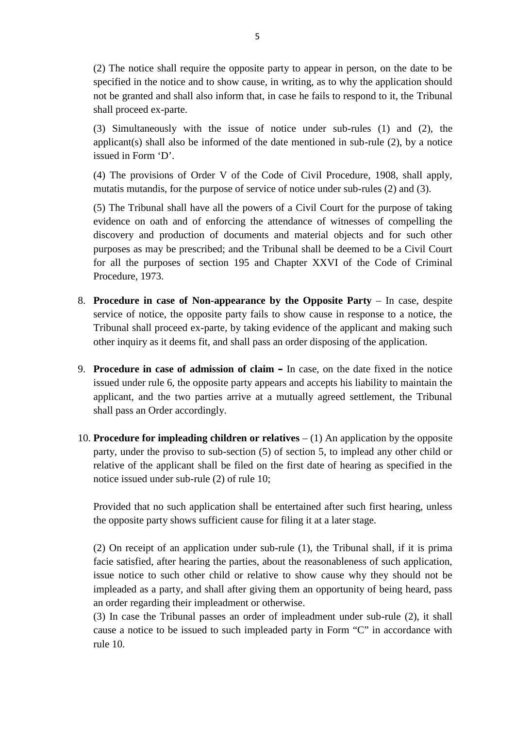(2) The notice shall require the opposite party to appear in person, on the date to be specified in the notice and to show cause, in writing, as to why the application should 5<br>(2) The notice shall require the opposite party to appear in person, on the date to be<br>specified in the notice and to show cause, in writing, as to why the application should<br>not be granted and shall also inform that, in shall proceed ex-parte. (2) The notice shall require the opposite party to appear in person, on the date to be specified in the notice and to show cause, in writing, as to why the application should not be granted and shall also inform that, in

issued in Form 'D'. (3) Simultaneously with the issue of notice under sub-rules (1) and (2), the applicant(s) shall also be informed of the date mentioned in sub-rule (2), by a notice issued in Form 'D'.<br>(4) The provisions of Order V of the (3) Simultaneously with the issue of notice under sub-rules (1) and (2), the applicant(s) shall also be informed of the date mentioned in sub-rule (2), by a notice issued in Form 'D'.<br>
(4) The provisions of Order V of the

(5) The Tribunal shall have all the powers of a Civil Court for the purpose of taking evidence on oath and of enforcing the attendance of witnesses of compelling the discovery and production of documents and material objects and for such other purposes as may be prescribed; and the Tribunal shall be deemed to be a Civil Court (5) The Tribunal shall have all the powers of a Civil Court for the purpose of taking evidence on oath and of enforcing the attendance of witnesses of compelling the discovery and production of documents and material objec Procedure, 1973. 8. **Procedure in case of Non-appearance by the Opposite Party** – In case, despite  $\frac{1973}{1000}$ .

- service of notice, the opposite party fails to show cause in response to a notice, the Tribunal shall proceed ex-parte, by taking evidence of the applicant and making such other inquiry as it deems fit, and shall pass an order disposing of the application. Subsequentially proceed ex-parte, by taking evidence of the applicant and making such other inquiry as it deems fit, and shall pass an order disposing of the application.<br>9. **Procedure in case of admission of claim** – In c
- issued under rule 6, the opposite party appears and accepts his liability to maintain the applicant, and the two parties arrive at a mutually agreed settlement, the Tribunal shall pass an Order accordingly.
- 10. **Procedure for impleading children or relatives** (1) An application by the opposite applicant, and the two parties arrive at a mutually agreed settlement, the Tribunal<br>shall pass an Order accordingly.<br>**Procedure for impleading children or relatives** – (1) An application by the opposite<br>party, under the p relative of the applicant shall be filed on the first date of hearing as specified in the notice issued under sub-rule (2) of rule 10;

Provided that no such application shall be entertained after such first hearing, unless the opposite party shows sufficient cause for filing it at a later stage.

(2) On receipt of an application under sub-rule (1), the Tribunal shall, if it is prima facie satisfied, after hearing the parties, about the reasonableness of such application, issue notice to such other child or relative to show cause why they should not be impleaded as a party, and shall after giving them an opportunity of being heard, pass an order regarding their impleadment or otherwise.

(3) In case the Tribunal passes an order of impleadment under sub-rule (2), it shall cause a notice to be issued to such impleaded party in Form "C" in accordance with rule 10.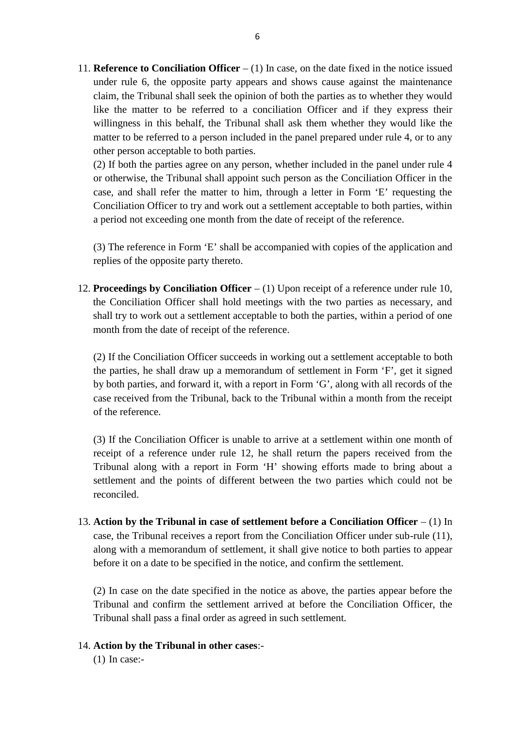11. **Reference to Conciliation Officer** – (1) In case, on the date fixed in the notice issued under rule 6, the opposite party appears and shows cause against the maintenance claim, the Tribunal shall seek the opinion of both the parties as to whether they would **Reference to Conciliation Officer**  $- (1)$  In case, on the date fixed in the notice issued under rule 6, the opposite party appears and shows cause against the maintenance claim, the Tribunal shall seek the opinion of bot willingness in this behalf, the Tribunal shall ask them whether they would like the matter to be referred to a person included in the panel prepared under rule 4, or to any other person acceptable to both parties. like the matter to be referred to a conciliation Officer and if they express their willingness in this behalf, the Tribunal shall ask them whether they would like the matter to be referred to a person included in the panel

or otherwise, the Tribunal shall appoint such person as the Conciliation Officer in the case, and shall refer the matter to him, through a letter in Form 'E' requesting the Conciliation Officer to try and work out a settlement acceptable to both parties, within a period not exceeding one month from the date of receipt of the reference. Conciliation Officer to try and work out<br>a period not exceeding one month from t<br>(3) The reference in Form 'E' shall be ad<br>replies of the opposite party thereto.

(3) The reference in Form 'E' shall be accompanied with copies of the application and

12. **Proceedings by Conciliation Officer** – (1) Upon receipt of a reference under rule 10, the Conciliation Officer shall hold meetings with the two parties as necessary, and shall try to work out a settlement acceptable to both the parties, within a period of one month from the date of receipt of the reference.

(2) If the Conciliation Officer succeeds in working out a settlement acceptable to both the parties, he shall draw up a memorandum of settlement in Form 'F', get it signed by both parties, and forward it, with a report in Form 'G', along with all records of the case received from the Tribunal, back to the Tribunal within a month from the receipt of the reference. by both parties, and forward it, with a report in Form 'G', along with all records of the case received from the Tribunal, back to the Tribunal within a month from the receipt of the reference.<br>(3) If the Conciliation Offi

Tribunal along with a report in Form 'H' showing efforts made to bring about a settlement and the points of different between the two parties which could not be reconciled.

13. **Action by the Tribunal in case of settlement before a Conciliation Officer** – (1) In case, the Tribunal receives a report from the Conciliation Officer under sub-rule (11), Action by the Tribunal in case of settlement before a Conciliation Officer  $-$  (1) In case, the Tribunal receives a report from the Conciliation Officer under sub-rule (11), along with a memorandum of settlement, it shall before it on a date to be specified in the notice, and confirm the settlement.

(2) In case on the date specified in the notice as above, the parties appear before the Tribunal and confirm the settlement arrived at before the Conciliation Officer, the<br>Tribunal shall pass a final order as agreed in such settlement.<br>Action by the Tribunal in other cases:-<br>(1) In case:-Tribunal shall pass a final order as agreed in such settlement.

### 14. **Action by the Tribunal in other cases**:-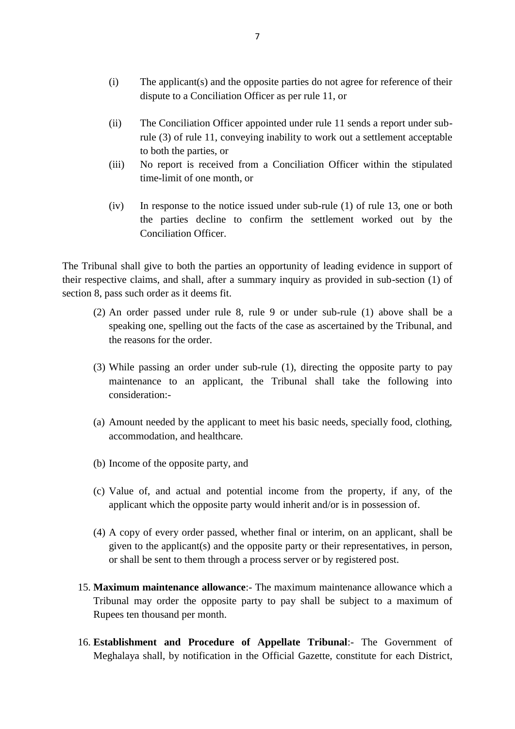- (i) The applicant(s) and the opposite parties do not agree for reference of their dispute to a Conciliation Officer as per rule 11, or dispute to a Conciliation Officer as per rule 11, or
- (i) The applicant(s) and the opposite parties do not agree for reference of their dispute to a Conciliation Officer as per rule 11, or<br>
(ii) The Conciliation Officer appointed under rule 11 sends a report under sub-<br>
rule The applicant(s) and the opposite parties do not agree for reference of their dispute to a Conciliation Officer as per rule 11, or<br>The Conciliation Officer appointed under rule 11 sends a report under sub-<br>rule (3) of rule to both the parties, or (ii) The Conciliation Officer appointed under rule 11 sends a report under sub-<br>rule (3) of rule 11, conveying inability to work out a settlement acceptable<br>to both the parties, or<br>(iii) No report is received from a Concil
- time-limit of one month, or
- (iii) In response to the notice issued under sub-rule (1) of rule 13, one or both<br>the parties decline to confirm the settlement worked out by the<br>the parties decline to confirm the settlement worked out by the the parties decline to confirm the settlement worked out by the Conciliation Officer. (iv) In response to the notice issued under sub-rule (1) of rule 13, one or both the parties decline to confirm the settlement worked out by the Conciliation Officer.<br>The Tribunal shall give to both the parties an opportun

Conciliation Officer.<br>The Tribunal shall give to both the parties a<br>their respective claims, and shall, after a sur<br>section 8, pass such order as it deems fit.<br>(2) An order passed under rule 8. (2) An order passed under rule 8, rule 9 or under sub-rule (1) above shall be a speaking one, spelling out the facts of the case as ascertained by the Tribunal, and

- speaking one, spelling out the facts of the case as ascertained by the Tribunal, and the reasons for the order. (2) An order passed under rule 8, rule 9 or under sub-rule (1) above shall be a speaking one, spelling out the facts of the case as ascertained by the Tribunal, and the reasons for the order.<br>
(3) While passing an order u
- maintenance to an applicant, the Tribunal shall take the following into consideration:- (3) While passing an order under sub-rule  $(1)$ , directing the opposite party to pay
- accommodation, and healthcare. (a) Amount needed by the applicant to meet his basic needs, specially food, clothing, accommodation, and healthcare.<br>
(b) Income of the opposite party, and
- 
- (b) Income of the opposite party, and<br>
(c) Value of, and actual and potential income from the property, if any, of the<br>
applicant which the opposite party would inherit and/or is in possession of. applicant which the opposite party would inherit and/or is in possession of.
- (c) Value of, and actual and potential income from the property, if any, of the applicant which the opposite party would inherit and/or is in possession of.<br>
(4) A copy of every order passed, whether final or interim, on given to the applicant(s) and the opposite party or their representatives, in person, or shall be sent to them through a process server or by registered post. 15. **Maximum maintenance allowance**: The maximum maintenance allowance which a Tribunal may order the opposite party to pay shall be subject to a maximum of
- Rupees ten thousand per month. 15. **Maximum maintenance allowance**:- The maximum maintenance allowance which a<br>Tribunal may order the opposite party to pay shall be subject to a maximum of<br>Rupees ten thousand per month.<br>16. **Establishment and Procedure**
- Meghalaya shall, by notification in the Official Gazette, constitute for each District,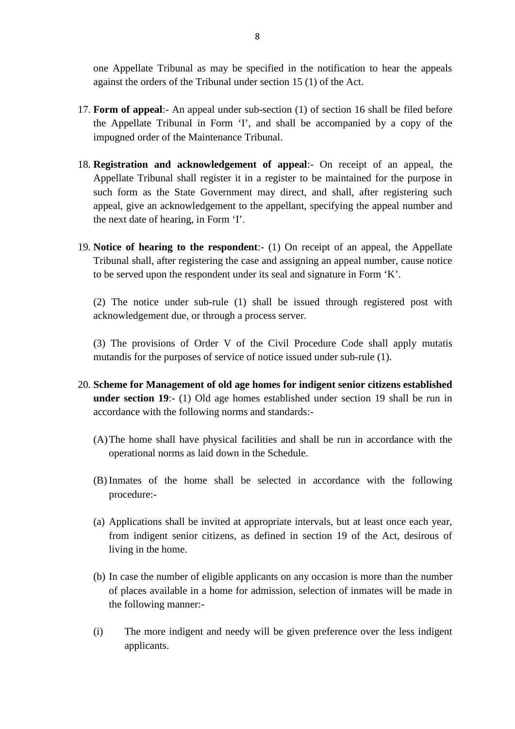one Appellate Tribunal as may be specified in the notification to hear the appeals against the orders of the Tribunal under section 15 (1) of the Act.

- 17. **Form of appeal:** An appeal under sub-section (1) of the Act.<br>17. **Form of appeal:** An appeal under sub-section (1) of section 16 shall be filed before the Appellate Tribunal in Form 'I', and shall be accompanied by the Appellate Tribunal in Form 'I', and shall be accompanied by a copy of the impugned order of the Maintenance Tribunal. 17. **Form of appeal**:- An appeal under sub-section (1) of section 16 shall be filed before the Appellate Tribunal in Form 'I', and shall be accompanied by a copy of the impugned order of the Maintenance Tribunal.<br>18. **Regi**
- Appellate Tribunal shall register it in a register to be maintained for the purpose in such form as the State Government may direct, and shall, after registering such appeal, give an acknowledgement to the appellant, specifying the appeal number and the next date of hearing, in Form 'I'.
- 19. **Notice of hearing to the respondent**:- (1) On receipt of an appeal, the Appellate Tribunal shall, after registering the case and assigning an appeal number, cause notice to be served upon the respondent under its seal and signature in Form 'K'.

(2) The notice under sub-rule (1) shall be issued through registered post with acknowledgement due, or through a process server. (2) The notice under sub-rule (1) shall be issued through registered post with acknowledgement due, or through a process server.<br>
(3) The provisions of Order V of the Civil Procedure Code shall apply mutatis mutandis for (2) The notice under sub-rule (1) shall be issued through registered acknowledgement due, or through a process server.<br>
(3) The provisions of Order V of the Civil Procedure Code shall appl<br>
mutandis for the purposes of se

(3) The provisions of Order V of the Civil Procedure Code shall apply mutatis mutandis for the purposes of service of notice issued under sub-rule (1).<br>**Scheme for Management of old age homes for indigent senior citizens e** 

- 20. **Scheme for Management of old age homes for indigent senior citizens established** accordance with the following norms and standards:-
	- (A)The home shall have physical facilities and shall be run in accordance with the operational norms as laid down in the Schedule.
	- (A) The home shall have physical facilities and shall be run in accordance with the operational norms as laid down in the Schedule.<br>
	(B) Inmates of the home shall be selected in accordance with the following procedure:procedure:- (B) Inmates of the home shall be selected in accordance with the following<br>procedure:-<br>(a) Applications shall be invited at appropriate intervals, but at least once each year,
	- from indigent senior citizens, as defined in section 19 of the Act, desirous of living in the home. (a) Applications shall be invited at appropriate intervals, but at least once each year,<br>from indigent senior citizens, as defined in section 19 of the Act, desirous of<br>living in the home.<br>(b) In case the number of eligibl
	- of places available in a home for admission, selection of inmates will be made in the following manner:- (b) In case the number of eligible applicants on any occasion is more than the number<br>of places available in a home for admission, selection of inmates will be made in<br>the following manner:-<br>(i) The more indigent and needy
	- applicants.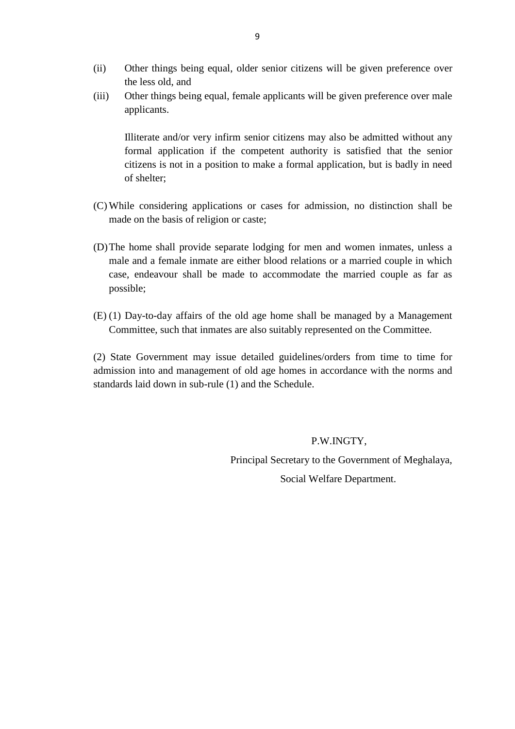- q<br>
(ii) Other things being equal, older senior citizens will be given preference over<br>
the less old, and the less old, and
- (ii) Other things being equal, older senior citizens will be given preference over the less old, and<br>(iii) Other things being equal, female applicants will be given preference over male<br>applicants. applicants.

Illiterate and/or very infirm senior citizens may also be admitted without any<br>Illiterate and/or very infirm senior citizens may also be admitted without any<br>formal application if the competent authority is satisfied that Other things being equal, female applicants will be given preference over male<br>applicants.<br>Illiterate and/or very infirm senior citizens may also be admitted without any<br>formal application if the competent authority is sat citizens is not in a position to make a formal application, but is badly in need of shelter; formal application if the competent authority is satisfied that the senior<br>citizens is not in a position to make a formal application, but is badly in need<br>of shelter;<br>(C) While considering applications or cases for admiss

- made on the basis of religion or caste;
- (D)The home shall provide separate lodging for men and women inmates, unless a male and a female inmate are either blood relations or a married couple in which case, endeavour shall be made to accommodate the married couple as far as possible; male and a female inmate are either blood relations or a married couple in which<br>case, endeavour shall be made to accommodate the married couple as far as<br>possible;<br>(E) (1) Day-to-day affairs of the old age home shall be m
- Committee, such that inmates are also suitably represented on the Committee.

(2) State Government may issue detailed guidelines/orders from time to time for admission into and management of old age homes in accordance with the norms and standards laid down in sub-rule (1) and the Schedule.

## P.W.INGTY,

Principal Secretary to the Government of Meghalaya,

Social Welfare Department.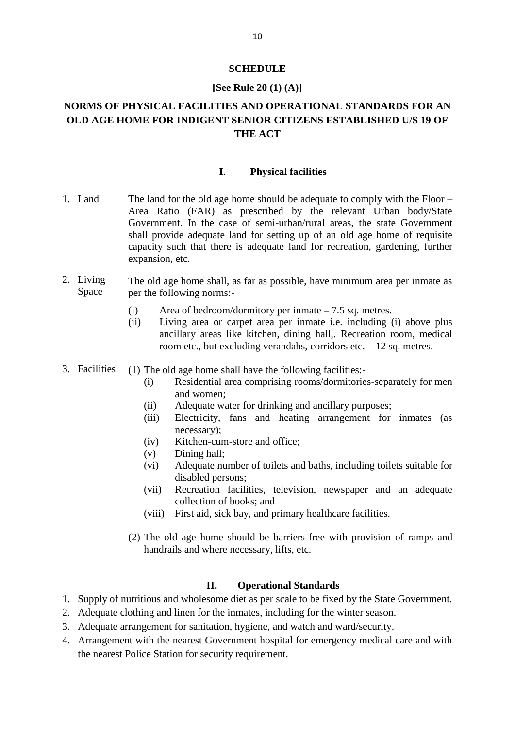### **SCHEDULE**

### **[See Rule 20 (1) (A)]**

# **NORMS OF PHYSICAL FACILITIES AND OPERATIONAL STANDARDS FOR AN<br>NORMS OF PHYSICAL FACILITIES AND OPERATIONAL STANDARDS FOR AN<br>OLD AGE HOME FOR INDIGENT SENIOR CITIZENS ESTABLISHED U/S 19 OF OLD AGE HOME FOR INDIGENT SENIOR CITIZENS ESTABLISHED U/S 19 OF THE ACT I. Physical facilities**<br> **I.** Physical facilities<br> **I.** Physical facilities

- 1. Land The land for the old age home should be adequate to comply with the Floor Area Ratio (FAR) as prescribed by the relevant Urban body/State Government. In the case of semi-urban/rural areas, the state Government shall provide adequate land for setting up of an old age home of requisite The land for the old age home should be adequate to comply with the Floor – Area Ratio (FAR) as prescribed by the relevant Urban body/State Government. In the case of semi-urban/rural areas, the state Government shall prov expansion, etc. 2. Living The old age home shall, as far as possible, have minimum area per inmate as pace the following norms:-
- Space per the following norms:-The old age home shall, as far as possible, have minimum area per inmate as<br>per the following norms:-<br>(i) Area of bedroom/dormitory per inmate  $-7.5$  sq. metres.<br>(ii) Living area or carpet area per inmate i.e. including (
	-
- Expansion, etc.<br>
The old age home shall, as far as possible, have minimum area per inmate as<br>
per the following norms:-<br>
(i) Area of bedroom/dormitory per inmate  $-7.5$  sq. metres.<br>
(ii) Living area or carpet area per inm ancillary areas like kitchen, dining hall,. Recreation room, medical room etc., but excluding verandahs, corridors etc.  $-12$  sq. metres. 3. Facilities (1) The old age home shall have the following facilities:<br>
(ii) Living area or carpet area per inmate i.e. including<br>
ancillary areas like kitchen, dining hall,. Recreation<br>
room etc., but excluding verandah Living area or carpet area per inmate i.e. including (i) above plus<br>ancillary areas like kitchen, dining hall,. Recreation room, medical<br>room etc., but excluding verandahs, corridors etc.  $-12$  sq. metres.<br>The old age hom
- 
- and women; mom etc., but excluding verandahs, corridors etc. – 12 sq. mom.<br>
The old age home shall have the following facilities:-<br>
(i) Residential area comprising rooms/dormitories-separatel<br>
and women;<br>
(ii) Adequate water for drin
	-
- The old age home shall have the following facilities:-<br>
(i) Residential area comprising rooms/dormitories-separately for men<br>
and women;<br>
(ii) Adequate water for drinking and ancillary purposes;<br>
(iii) Electricity, fans an necessary); (i) Residential area comprising rooms<br>
and women;<br>
(ii) Adequate water for drinking and ar<br>
(iii) Electricity, fans and heating a<br>
necessary);<br>
(iv) Kitchen-cum-store and office;<br>
(v) Dining hall; and women;<br>
(ii) Adequate water f<br>
(iii) Electricity, fans<br>
necessary);<br>
(iv) Kitchen-cum-sto:<br>
(v) Dining hall;<br>
(vi) Adequate numbe
	-
	-
	- (ii) Adequate water for drinking and ancillary purposes;<br>
	(iii) Electricity, fans and heating arrangement for inmates (as<br>
	necessary);<br>
	(iv) Kitchen-cum-store and office;<br>
	(v) Dining hall;<br>
	(vi) Adequate number of toilets disabled persons; mecessary);<br>
	(iv) Kitchen-cum-store and office;<br>
	(vi) Dining hall;<br>
	(vi) Adequate number of toilets and baths, including toilets suitable for<br>
	disabled persons;<br>
	(vii) Recreation facilities, television, newspaper and an ad (v) Dining hall;<br>
	(vi) Adequate number of toilets and baths, including toilets suitable for<br>
	disabled persons;<br>
	(vii) Recreation facilities, television, newspaper and an adequate<br>
	collection of books; and<br>
	(viii) First aid
		- collection of books; and
		-
- disabled persons;<br>
(vii) Recreation facilities, television, newspaper and an adequate<br>
collection of books; and<br>
(viii) First aid, sick bay, and primary healthcare facilities.<br>
(2) The old age home should be barriers-free handrails and where necessary, lifts, etc. Figure 10 should be barriers-free with provement accessary, lifts, etc.<br> **II. Operational Standards**<br>
Some diet as per scale to be fixed by the 2. The old age home should be barriers-free with provision of ramps and<br>handrails and where necessary, lifts, etc.<br>**II. Operational Standards**<br>1. Supply of nutritious and wholesome diet as per scale to be fixed by the St

- 2. Adequate clothing and linen for the inmates, including for the winter season.<br>
2. Adequate clothing and linen for the inmates, including for the winter season.<br>
3. Adequate arrangement for sanitation, hygiene, and watch
- 
- 
- **3.** Supply of nutritious and wholesome diet as per scale to be fixed by the State Gov<br>3. Adequate clothing and linen for the inmates, including for the winter season.<br>3. Adequate arrangement for sanitation, hygiene, and w 1. Supply of nutritious and wholesome diet as per scale to be fixed by the State Government.<br>
2. Adequate clothing and linen for the inmates, including for the winter season.<br>
3. Adequate arrangement for sanitation, hygien the nearest Police Station for security requirement.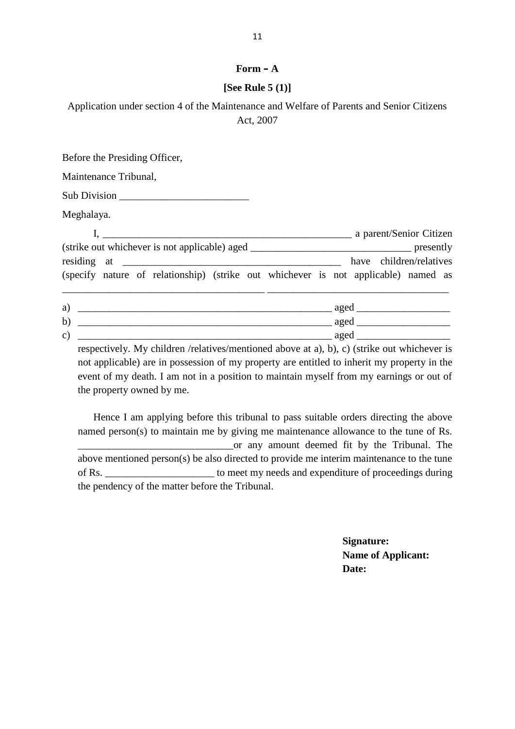## $$

## **[See Rule 5 (1)]**

| Form $- A$                                                                                             |
|--------------------------------------------------------------------------------------------------------|
| [See Rule $5(1)$ ]                                                                                     |
| Application under section 4 of the Maintenance and Welfare of Parents and Senior Citizens<br>Act, 2007 |

| have children/relatives<br>residing at $\frac{1}{\sqrt{1-\frac{1}{\sqrt{1-\frac{1}{\sqrt{1-\frac{1}{\sqrt{1-\frac{1}{\sqrt{1-\frac{1}{\sqrt{1-\frac{1}{\sqrt{1-\frac{1}{\sqrt{1-\frac{1}{\sqrt{1-\frac{1}{\sqrt{1-\frac{1}{\sqrt{1-\frac{1}{\sqrt{1-\frac{1}{\sqrt{1-\frac{1}{\sqrt{1-\frac{1}{\sqrt{1-\frac{1}{\sqrt{1-\frac{1}{\sqrt{1-\frac{1}{\sqrt{1-\frac{1}{\sqrt{1-\frac{1}{\sqrt{1-\frac{1}{\sqrt{1-\frac{1}{\sqrt{1-\frac{1}{\sqrt{1-\$ |
|---------------------------------------------------------------------------------------------------------------------------------------------------------------------------------------------------------------------------------------------------------------------------------------------------------------------------------------------------------------------------------------------------------------------------------------------------|
| (specify nature of relationship) (strike out whichever is not applicable) named as                                                                                                                                                                                                                                                                                                                                                                |
|                                                                                                                                                                                                                                                                                                                                                                                                                                                   |
| $\frac{1}{2}$ aged $\frac{1}{2}$ aged $\frac{1}{2}$ and $\frac{1}{2}$ aged $\frac{1}{2}$ and $\frac{1}{2}$ aged $\frac{1}{2}$ and $\frac{1}{2}$ aged $\frac{1}{2}$ and $\frac{1}{2}$ and $\frac{1}{2}$ and $\frac{1}{2}$ and $\frac{1}{2}$ and $\frac{1}{2}$ and $\frac{1}{2}$ and $\frac{1}{$                                                                                                                                                    |
|                                                                                                                                                                                                                                                                                                                                                                                                                                                   |
|                                                                                                                                                                                                                                                                                                                                                                                                                                                   |

not applicable) are in possession of my property are entitled to inherit my property in the event of my death. I am not in a position to maintain myself from my earnings or out of the property owned by me.

Hence I am applying before this tribunal to pass suitable orders directing the above named person(s) to maintain me by giving me maintenance allowance to the tune of Rs. \_\_\_\_\_\_\_\_\_\_\_\_\_\_\_\_\_\_\_\_\_\_\_\_\_\_\_\_\_\_or any amount deemed fit by the Tribunal. The above mentioned person(s) be also directed to provide me interim maintenance to the tune Hence I am applying before this tribunal to pass suitable orders directing the above<br>named person(s) to maintain me by giving me maintenance allowance to the tune of Rs.<br>or any amount deemed fit by the Tribunal. The<br>above the pendency of the matter before the Tribunal.

> **Signature: Name of Applicant: Date:**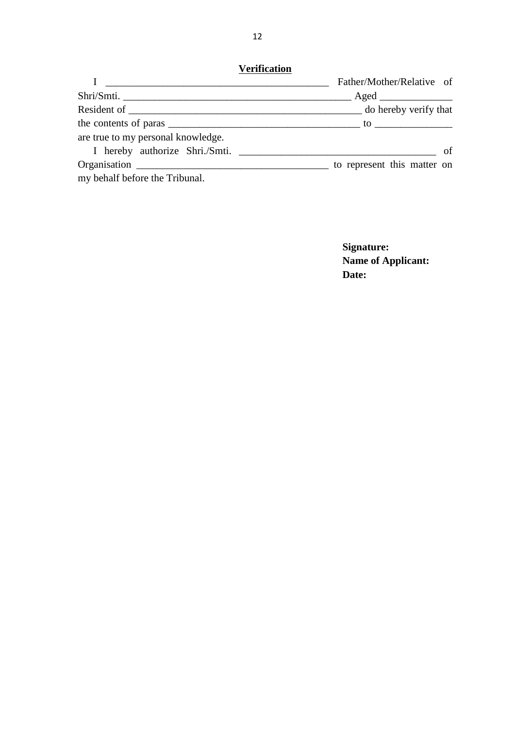|                                    | Father/Mother/Relative of |
|------------------------------------|---------------------------|
|                                    |                           |
|                                    |                           |
|                                    |                           |
| are true to my personal knowledge. |                           |
|                                    |                           |
|                                    |                           |
| my behalf before the Tribunal.     |                           |

**Signature: Name of Applicant: Date:**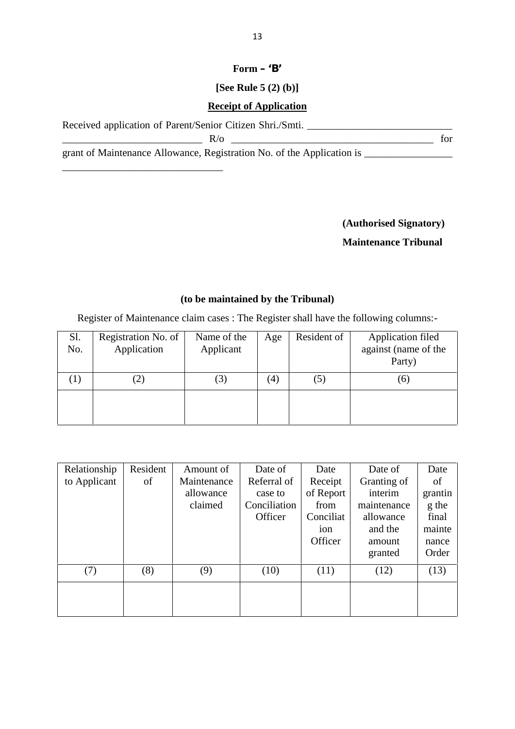# 13<br>**Form – 'B'**<br>**P**: Rule 5 (2) (b)] **[See Rule 5 (2) (b)]**

## **Receipt of Application**

Form – 'B'<br>
[See Rule 5 (2) (b)]<br>
Received application of Parent/Senior Citizen Shri./Smti.

\_\_\_\_\_\_\_\_\_\_\_\_\_\_\_\_\_\_\_\_\_\_\_\_\_\_\_\_\_\_\_

 $R/\sigma$  for

grant of Maintenance Allowance, Registration No. of the Application is \_\_\_\_\_\_\_\_\_\_\_\_\_\_\_\_\_

**(Authorised Signatory)**

# **Maintenance Tribunal**

## **(to be maintained by the Tribunal)**

|                   | Register of Maintenance claim cases : The Register shall have the following columns:- | (to be maintained by the Tribunal) |     |             |                                                     |
|-------------------|---------------------------------------------------------------------------------------|------------------------------------|-----|-------------|-----------------------------------------------------|
| Sl.<br>No.        | Registration No. of<br>Application                                                    | Name of the<br>Applicant           | Age | Resident of | Application filed<br>against (name of the<br>Party) |
| $\left( 1\right)$ | (2)                                                                                   | (3)                                | (4) | (5)         | (6)                                                 |

| Relationship<br>to Applicant | Resident<br>of | Amount of<br>Maintenance<br>allowance<br>claimed | Date of<br>Referral of<br>case to<br>Conciliation<br>Officer | Date<br>Receipt<br>of Report<br>from<br>Conciliat<br>ion<br>Officer | Date of<br>Granting of<br>interim<br>maintenance<br>allowance<br>and the<br>amount<br>granted | Date<br>of<br>grantin<br>g the<br>final<br>mainte<br>nance<br>Order |
|------------------------------|----------------|--------------------------------------------------|--------------------------------------------------------------|---------------------------------------------------------------------|-----------------------------------------------------------------------------------------------|---------------------------------------------------------------------|
| (7)                          | (8)            | (9)                                              | (10)                                                         | (11)                                                                | (12)                                                                                          | (13)                                                                |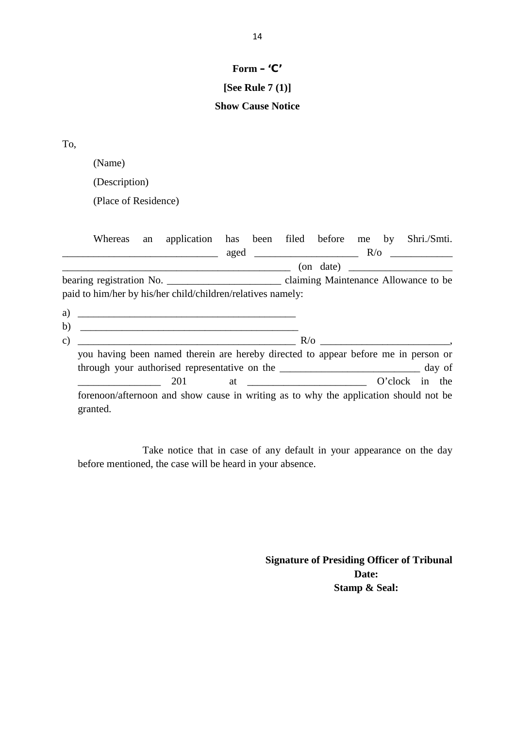# **Form – 'C'**

# **[See Rule 7 (1)]**

# Form – 'C'<br>[See Rule 7 (1)]<br>Show Cause Notice

(Name)

|                | (Description)                                                                                                        |    |     |  |  |  |                                                     |
|----------------|----------------------------------------------------------------------------------------------------------------------|----|-----|--|--|--|-----------------------------------------------------|
|                | (Place of Residence)                                                                                                 |    |     |  |  |  |                                                     |
|                | <b>Whereas</b><br><u> 2002 - Jan James James Barnett, fransk politik (d. 1878)</u>                                   | an |     |  |  |  | application has been filed before me by Shri./Smti. |
|                |                                                                                                                      |    |     |  |  |  | $($ on date) $\qquad \qquad$                        |
|                |                                                                                                                      |    |     |  |  |  |                                                     |
|                | paid to him/her by his/her child/children/relatives namely:                                                          |    |     |  |  |  |                                                     |
|                | <u> 2000 - Jan James James Barnett, amerikan bisa di sebagai pertama pertama pertama pertama pertama pertama per</u> |    |     |  |  |  |                                                     |
|                |                                                                                                                      |    |     |  |  |  |                                                     |
|                | you having been named therein are hereby directed to appear before me in person or                                   |    |     |  |  |  |                                                     |
| a)<br>b)<br>C) |                                                                                                                      |    |     |  |  |  |                                                     |
|                |                                                                                                                      |    | 201 |  |  |  |                                                     |

Take notice that in case of any default in your appearance on the day before mentioned, the case will be heard in your absence.

> **Signature of Presiding Officer of Tribunal Date: Stamp & Seal:**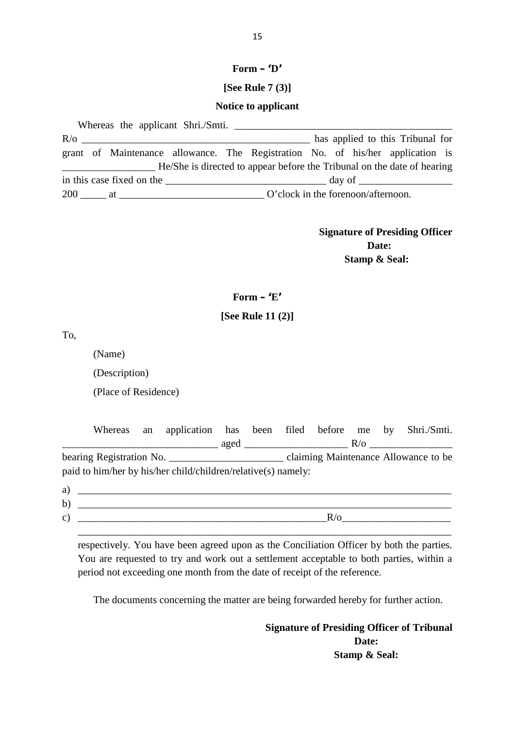# **Form – '<sup>D</sup>' [See Rule 7 (3)]**

### **Notice to applicant**

Whereas the applicant Shri./Smti.  $R/O$  has applied to this Tribunal for grant of Maintenance allowance. The Registration No. of his/her application is Notice to applicant<br>
R/o<br>
R/o<br>
grant of Maintenance allowance. The Registration No. of his/her application is<br>
He/She is directed to appear before the Tribunal on the date of hearing<br>
in this case fixed on the \_\_\_\_\_\_\_\_\_\_\_\_ in this case fixed on the  $\Box$ 200 \_\_\_\_\_ at \_\_\_\_\_\_\_\_\_\_\_\_\_\_\_\_\_\_\_\_\_\_\_\_\_\_\_\_ O'clock in the forenoon/afternoon.

> **Signature of Presiding Officer Date: Stamp & Seal:**

# **Form – '<sup>E</sup>' Form – 'E'**<br>**[See Rule 11 (2)]**

To,

(Name)

(Description)

(Place of Residence)

| $\frac{1}{2}$ aged $\frac{1}{2}$ R/o $\frac{1}{2}$ R/o |                                                               |  |  | application has been filed before me by Shri./Smti. |
|--------------------------------------------------------|---------------------------------------------------------------|--|--|-----------------------------------------------------|
|                                                        |                                                               |  |  |                                                     |
|                                                        | paid to him/her by his/her child/children/relative(s) namely: |  |  |                                                     |

| <u> 1989 - Johann Stein, marking ar yn y brening yn y brening yn y brening yn y brening yn y brening yn y brenin</u>       |        |
|----------------------------------------------------------------------------------------------------------------------------|--------|
|                                                                                                                            |        |
| paid to him/her by his/her child/children/relative(s) namely:                                                              |        |
| a)<br><u> Andreas Andreas Andreas Andreas Andreas Andreas Andreas Andreas Andreas Andreas Andreas Andreas Andreas Andr</u> |        |
| b)                                                                                                                         |        |
| $\mathcal{C}$ )                                                                                                            | $R$ /0 |
|                                                                                                                            |        |
|                                                                                                                            |        |

respectively. You have been agreed upon as the Conciliation Officer by both the parties. You are requested to try and work out a settlement acceptable to both parties, within a period not exceeding one month from the date of receipt of the reference.

The documents concerning the matter are being forwarded hereby for further action.

**Signature of Presiding Officer of Tribunal Date: Stamp & Seal:**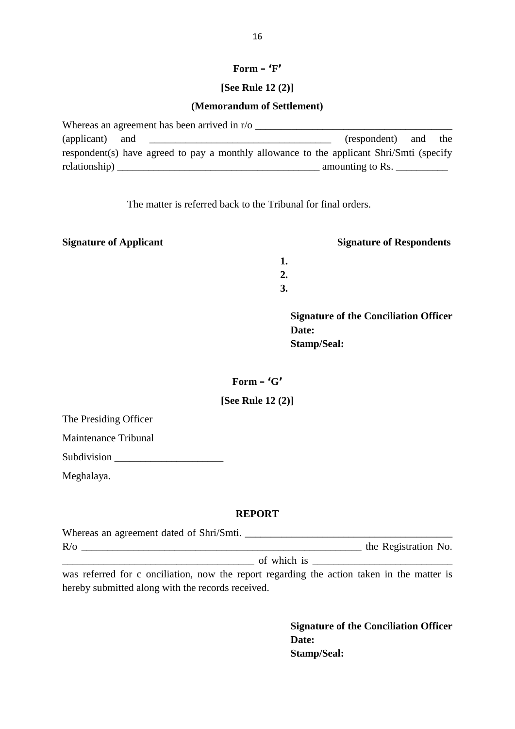# **Form – '<sup>F</sup>'**

# **[See Rule 12 (2)] (Memorandum of Settlement)**

|                 | Whereas an agreement has been arrived in $r/\sigma$                                                                    |                                                    |  |
|-----------------|------------------------------------------------------------------------------------------------------------------------|----------------------------------------------------|--|
| (applicant) and | <u> 1990 - Johann John Harry Harry Harry Harry Harry Harry Harry Harry Harry Harry Harry Harry Harry Harry Harry H</u> | (respondent) and the                               |  |
|                 | respondent(s) have agreed to pay a monthly allowance to the applicant Shri/Smti (specify                               |                                                    |  |
|                 | relationality)                                                                                                         | amounting to Rs. $\frac{1}{\sqrt{1-\frac{1}{2}}}\$ |  |

The matter is referred back to the Tribunal for final orders.

## **Signature of Applicant Signature of Respondents**

**1. 2.**

**3.**

**Signature of the Conciliation Officer Date: Stamp/Seal: Form** – '**G**'<br>**Form** – '**G**'<br>**Example**<br>Form – '**G**'<br>ee Rule 12 (2)]

# **[Stamp 45]**<br>**[See Rule 12 (2)]**

The Presiding Officer

Maintenance Tribunal

Subdivision

### **REPORT**

| Meghalaya.                                                                                                                                      |                             |
|-------------------------------------------------------------------------------------------------------------------------------------------------|-----------------------------|
| <b>REPORT</b>                                                                                                                                   |                             |
|                                                                                                                                                 |                             |
| R/O                                                                                                                                             | the Registration No.        |
|                                                                                                                                                 | of which is $\qquad \qquad$ |
| was referred for c onciliation, now the report regarding the action taken in the matter is<br>hereby submitted along with the records received. |                             |

**Signature of the Conciliation Officer Date: Stamp/Seal:**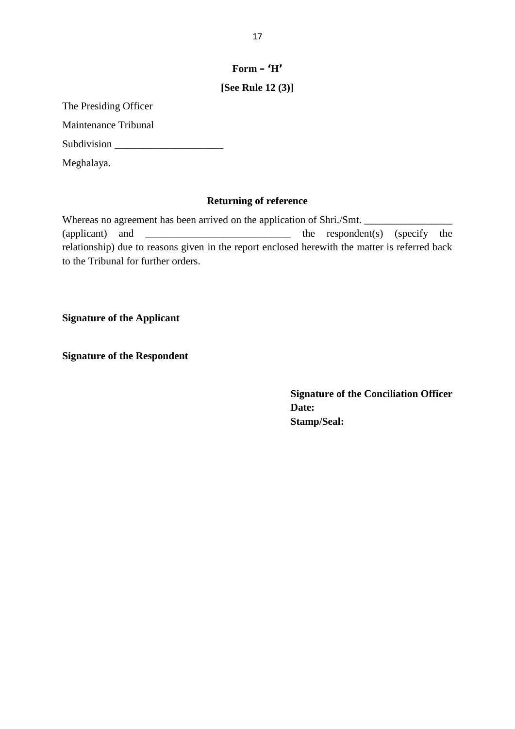# **Form – '<sup>H</sup>'** 17<br>**Form – 'H'<br>[See Rule 12 (3)]**

The Presiding Officer

Maintenance Tribunal

Subdivision \_\_\_\_\_\_\_\_\_\_\_\_\_\_\_\_\_\_\_\_\_

Meghalaya.

## **Returning of reference**

Whereas no agreement has been arrived on the application of Shri./Smt. \_\_\_\_\_\_\_\_\_\_\_\_\_\_\_\_\_ the respondent(s) (specify the relationship) due to reasons given in the report enclosed herewith the matter is referred back to the Tribunal for further orders.

**Signature of the Applicant**

**Signature of the Respondent**

**Signature of the Conciliation Officer Date: Stamp/Seal:**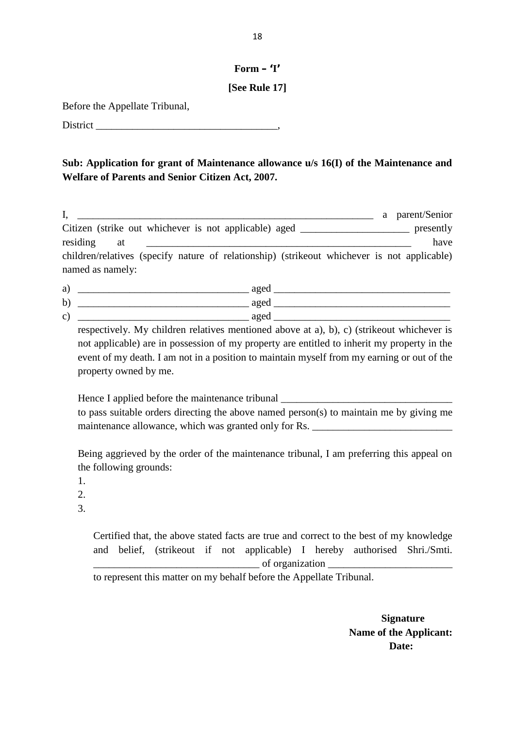# **Form – '<sup>I</sup>' [See Rule 17]**

Before the Appellate Tribunal,

District \_\_\_\_\_\_\_\_\_\_\_\_\_\_\_\_\_\_\_\_\_\_\_\_\_\_\_\_\_\_\_\_\_\_\_,

# **Sub: Application for grant of Maintenance allowance u/s 16(I) of the Maintenance and Welfare of Parents and Senior Citizen Act, 2007.**

| I,<br>a parent/Senior                                                                                                                                                                                                                                                                  |      |
|----------------------------------------------------------------------------------------------------------------------------------------------------------------------------------------------------------------------------------------------------------------------------------------|------|
| Citizen (strike out whichever is not applicable) aged _____________________ presently                                                                                                                                                                                                  |      |
| residing<br>at                                                                                                                                                                                                                                                                         | have |
| children/relatives (specify nature of relationship) (strikeout whichever is not applicable)<br>named as namely:                                                                                                                                                                        |      |
|                                                                                                                                                                                                                                                                                        |      |
| b) $\frac{1}{2}$ aged $\frac{1}{2}$ aged $\frac{1}{2}$ aged $\frac{1}{2}$ aged $\frac{1}{2}$ aged $\frac{1}{2}$ aged $\frac{1}{2}$ aged $\frac{1}{2}$ aged $\frac{1}{2}$ age $\frac{1}{2}$ age of $\frac{1}{2}$ age of $\frac{1}{2}$ age of $\frac{1}{2}$ age of $\frac{1}{2}$ age of  |      |
|                                                                                                                                                                                                                                                                                        |      |
| respectively. My children relatives mentioned above at a), b), c) (strikeout whichever is<br>not applicable) are in possession of my property are entitled to inherit my property in the<br>event of my death. I am not in a position to maintain myself from my earning or out of the |      |
| property owned by me.<br>Hence I applied before the maintenance tribunal _________________________________<br>to pass suitable orders directing the above named person(s) to maintain me by giving me                                                                                  |      |
| maintenance allowance, which was granted only for Rs. ___________________________                                                                                                                                                                                                      |      |
| Being aggrieved by the order of the maintenance tribunal, I am preferring this appeal on<br>the following grounds:<br>1.<br>2.                                                                                                                                                         |      |

\_\_\_\_\_\_\_\_\_\_\_\_\_\_\_\_\_\_\_\_\_\_\_\_\_\_\_\_\_\_\_\_ of organization \_\_\_\_\_\_\_\_\_\_\_\_\_\_\_\_\_\_\_\_\_\_\_\_

to represent this matter on my behalf before the Appellate Tribunal.

**Signature Name of the Applicant: Date:**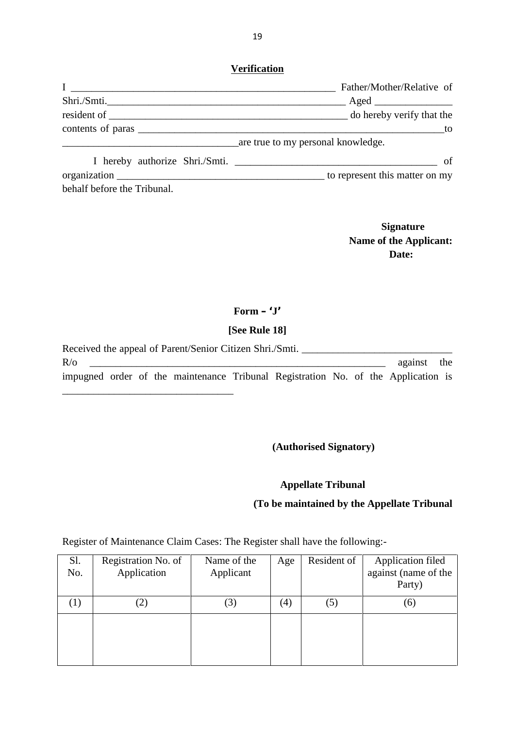| <b>Verification</b>         | Father/Mother/Relative of            |
|-----------------------------|--------------------------------------|
| Shri./Smti.                 |                                      |
|                             |                                      |
|                             |                                      |
|                             |                                      |
|                             | are true to my personal knowledge.   |
|                             | I hereby authorize Shri./Smti.<br>of |
|                             |                                      |
| behalf before the Tribunal. |                                      |

**Signature Name of the Applicant: Date:**

# **Form – '<sup>J</sup>' [See Rule 18]**

|                  |  | Received the appeal of Parent/Senior Citizen Shri./Smti.                          |  |  |             |  |
|------------------|--|-----------------------------------------------------------------------------------|--|--|-------------|--|
| $R$ <sub>o</sub> |  |                                                                                   |  |  | against the |  |
|                  |  | impugned order of the maintenance Tribunal Registration No. of the Application is |  |  |             |  |

**(Authorised Signatory)**

# **Appellate Tribunal**

## **(To be maintained by the Appellate Tribunal**

Register of Maintenance Claim Cases: The Register shall have the following:-

 $\overline{\phantom{a}}$  , we can assume that the contract of  $\overline{\phantom{a}}$ 

|            |                                                                              |                          |     |             | (To be maintained by the Appellate Tribunal         |
|------------|------------------------------------------------------------------------------|--------------------------|-----|-------------|-----------------------------------------------------|
|            | Register of Maintenance Claim Cases: The Register shall have the following:- |                          |     |             |                                                     |
| Sl.<br>No. | Registration No. of<br>Application                                           | Name of the<br>Applicant | Age | Resident of | Application filed<br>against (name of the<br>Party) |
| (1)        | (2)                                                                          | (3)                      | (4) | (5)         | (6)                                                 |
|            |                                                                              |                          |     |             |                                                     |
|            |                                                                              |                          |     |             |                                                     |